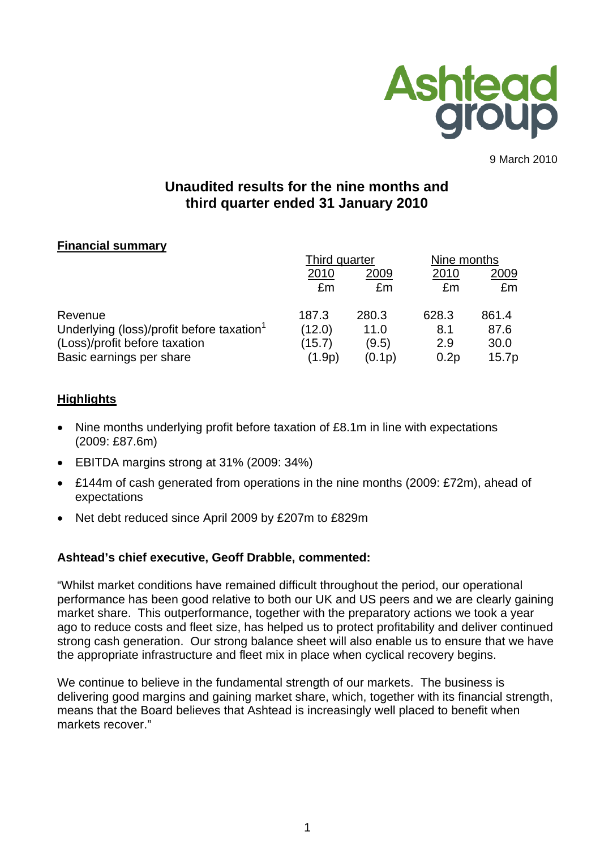

9 March 2010

# **Unaudited results for the nine months and third quarter ended 31 January 2010**

# **Financial summary**

|                                                       | Third quarter |        | Nine months |       |
|-------------------------------------------------------|---------------|--------|-------------|-------|
|                                                       | 2010          | 2009   | 2010        | 2009  |
|                                                       | £m            | £m     | £m          | £m    |
| Revenue                                               | 187.3         | 280.3  | 628.3       | 861.4 |
| Underlying (loss)/profit before taxation <sup>1</sup> | (12.0)        | 11.0   | 8.1         | 87.6  |
| (Loss)/profit before taxation                         | (15.7)        | (9.5)  | 2.9         | 30.0  |
| Basic earnings per share                              | (1.9p)        | (0.1p) | 0.2p        | 15.7p |

# **Highlights**

- Nine months underlying profit before taxation of £8.1m in line with expectations (2009: £87.6m)
- EBITDA margins strong at 31% (2009: 34%)
- £144m of cash generated from operations in the nine months (2009: £72m), ahead of expectations
- Net debt reduced since April 2009 by £207m to £829m

# **Ashtead's chief executive, Geoff Drabble, commented:**

"Whilst market conditions have remained difficult throughout the period, our operational performance has been good relative to both our UK and US peers and we are clearly gaining market share. This outperformance, together with the preparatory actions we took a year ago to reduce costs and fleet size, has helped us to protect profitability and deliver continued strong cash generation. Our strong balance sheet will also enable us to ensure that we have the appropriate infrastructure and fleet mix in place when cyclical recovery begins.

We continue to believe in the fundamental strength of our markets. The business is delivering good margins and gaining market share, which, together with its financial strength, means that the Board believes that Ashtead is increasingly well placed to benefit when markets recover."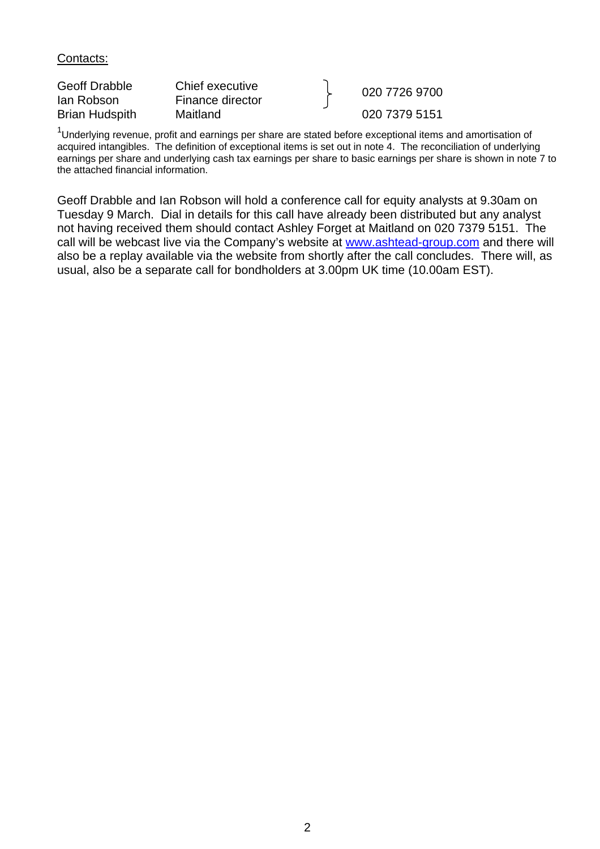Contacts:

| <b>Geoff Drabble</b>  | Chief executive  | 020 7726 9700 |
|-----------------------|------------------|---------------|
| lan Robson            | Finance director |               |
| <b>Brian Hudspith</b> | Maitland         | 020 7379 5151 |

 $1$ Underlying revenue, profit and earnings per share are stated before exceptional items and amortisation of acquired intangibles. The definition of exceptional items is set out in note 4. The reconciliation of underlying earnings per share and underlying cash tax earnings per share to basic earnings per share is shown in note 7 to the attached financial information.

Geoff Drabble and Ian Robson will hold a conference call for equity analysts at 9.30am on Tuesday 9 March. Dial in details for this call have already been distributed but any analyst not having received them should contact Ashley Forget at Maitland on 020 7379 5151. The call will be webcast live via the Company's website at [www.ashtead-group.com](http://www.ashtead-group.com/) and there will also be a replay available via the website from shortly after the call concludes. There will, as usual, also be a separate call for bondholders at 3.00pm UK time (10.00am EST).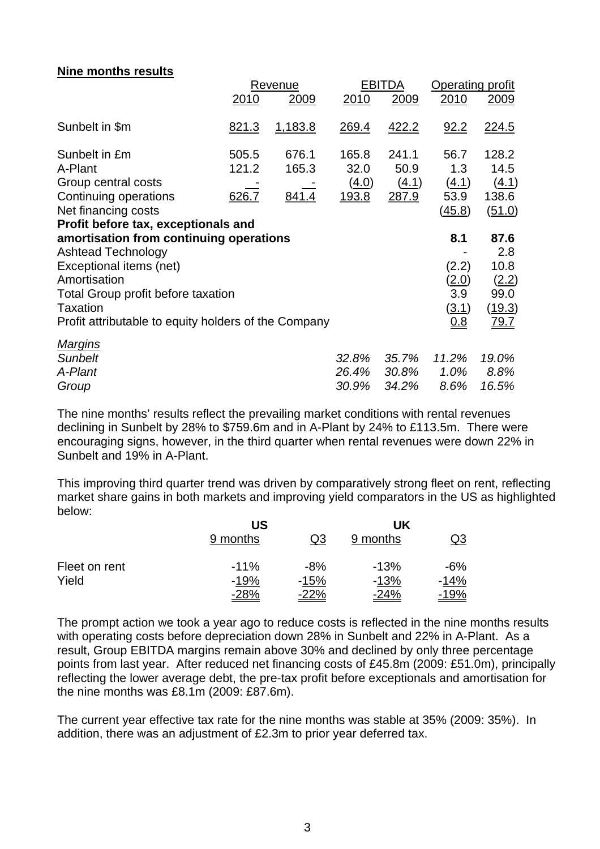### **Nine months results**

|                                                      |              | Revenue      |              | <b>EBITDA</b> | Operating profit |             |  |
|------------------------------------------------------|--------------|--------------|--------------|---------------|------------------|-------------|--|
|                                                      | 2010         | 2009         | 2010         | 2009          | 2010             | 2009        |  |
| Sunbelt in \$m                                       | <u>821.3</u> | 1,183.8      | <u>269.4</u> | <u>422.2</u>  | 92.2             | 224.5       |  |
| Sunbelt in £m                                        | 505.5        | 676.1        | 165.8        | 241.1         | 56.7             | 128.2       |  |
| A-Plant                                              | 121.2        | 165.3        | 32.0         | 50.9          | 1.3              | 14.5        |  |
| Group central costs                                  |              |              | <u>(4.0)</u> | (4.1)         | (4.1)            | (4.1)       |  |
| Continuing operations                                | 626.7        | <u>841.4</u> | <u>193.8</u> | 287.9         | 53.9             | 138.6       |  |
| Net financing costs                                  |              |              |              |               | (45.8)           | (51.0)      |  |
| Profit before tax, exceptionals and                  |              |              |              |               |                  |             |  |
| amortisation from continuing operations              |              |              |              |               | 8.1              | 87.6        |  |
| <b>Ashtead Technology</b>                            |              |              |              |               |                  | 2.8         |  |
| Exceptional items (net)                              |              |              |              |               | (2.2)            | 10.8        |  |
| Amortisation                                         |              |              |              |               | (2.0)            | (2.2)       |  |
| Total Group profit before taxation                   |              |              |              |               | 3.9              | 99.0        |  |
| <b>Taxation</b>                                      |              |              |              |               | <u>(3.1)</u>     | (19.3)      |  |
| Profit attributable to equity holders of the Company |              |              |              |               | 0.8              | <u>79.7</u> |  |
| <b>Margins</b>                                       |              |              |              |               |                  |             |  |
| <b>Sunbelt</b>                                       |              |              | 32.8%        | 35.7%         | 11.2%            | 19.0%       |  |
| A-Plant                                              |              |              | 26.4%        | 30.8%         | 1.0%             | 8.8%        |  |
| Group                                                |              |              | 30.9%        | 34.2%         | 8.6%             | 16.5%       |  |

The nine months' results reflect the prevailing market conditions with rental revenues declining in Sunbelt by 28% to \$759.6m and in A-Plant by 24% to £113.5m. There were encouraging signs, however, in the third quarter when rental revenues were down 22% in Sunbelt and 19% in A-Plant.

This improving third quarter trend was driven by comparatively strong fleet on rent, reflecting market share gains in both markets and improving yield comparators in the US as highlighted below:

|               | US          | UK          |             |             |
|---------------|-------------|-------------|-------------|-------------|
|               | 9 months    | Q3          | 9 months    | Q3          |
| Fleet on rent | $-11%$      | $-8%$       | $-13%$      | -6%         |
| Yield         | $-19%$      | $-15%$      | $-13%$      | $-14%$      |
|               | <u>-28%</u> | <u>-22%</u> | <u>-24%</u> | <u>-19%</u> |

The prompt action we took a year ago to reduce costs is reflected in the nine months results with operating costs before depreciation down 28% in Sunbelt and 22% in A-Plant. As a result, Group EBITDA margins remain above 30% and declined by only three percentage points from last year. After reduced net financing costs of £45.8m (2009: £51.0m), principally reflecting the lower average debt, the pre-tax profit before exceptionals and amortisation for the nine months was £8.1m (2009: £87.6m).

The current year effective tax rate for the nine months was stable at 35% (2009: 35%). In addition, there was an adjustment of £2.3m to prior year deferred tax.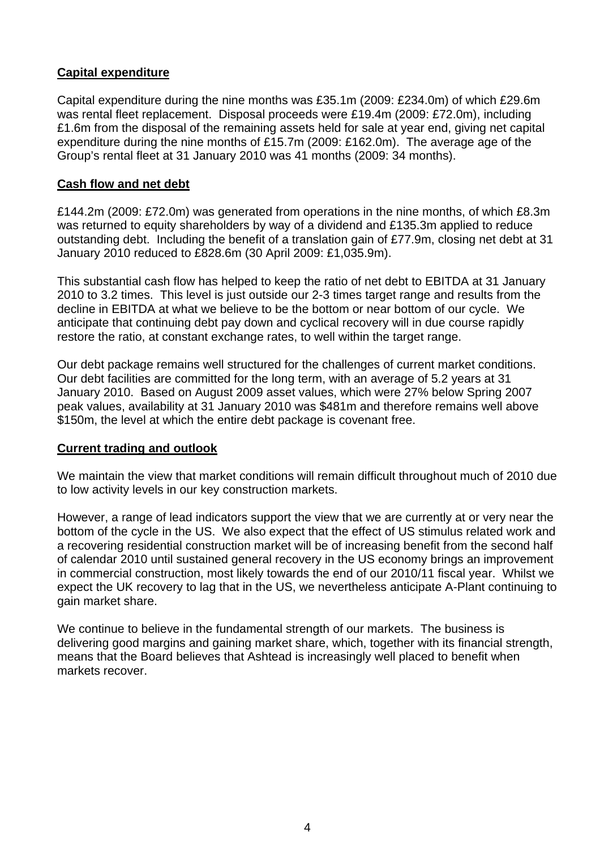# **Capital expenditure**

Capital expenditure during the nine months was £35.1m (2009: £234.0m) of which £29.6m was rental fleet replacement. Disposal proceeds were £19.4m (2009: £72.0m), including £1.6m from the disposal of the remaining assets held for sale at year end, giving net capital expenditure during the nine months of £15.7m (2009: £162.0m). The average age of the Group's rental fleet at 31 January 2010 was 41 months (2009: 34 months).

## **Cash flow and net debt**

£144.2m (2009: £72.0m) was generated from operations in the nine months, of which £8.3m was returned to equity shareholders by way of a dividend and £135.3m applied to reduce outstanding debt. Including the benefit of a translation gain of £77.9m, closing net debt at 31 January 2010 reduced to £828.6m (30 April 2009: £1,035.9m).

This substantial cash flow has helped to keep the ratio of net debt to EBITDA at 31 January 2010 to 3.2 times. This level is just outside our 2-3 times target range and results from the decline in EBITDA at what we believe to be the bottom or near bottom of our cycle. We anticipate that continuing debt pay down and cyclical recovery will in due course rapidly restore the ratio, at constant exchange rates, to well within the target range.

Our debt package remains well structured for the challenges of current market conditions. Our debt facilities are committed for the long term, with an average of 5.2 years at 31 January 2010. Based on August 2009 asset values, which were 27% below Spring 2007 peak values, availability at 31 January 2010 was \$481m and therefore remains well above \$150m, the level at which the entire debt package is covenant free.

## **Current trading and outlook**

We maintain the view that market conditions will remain difficult throughout much of 2010 due to low activity levels in our key construction markets.

However, a range of lead indicators support the view that we are currently at or very near the bottom of the cycle in the US. We also expect that the effect of US stimulus related work and a recovering residential construction market will be of increasing benefit from the second half of calendar 2010 until sustained general recovery in the US economy brings an improvement in commercial construction, most likely towards the end of our 2010/11 fiscal year. Whilst we expect the UK recovery to lag that in the US, we nevertheless anticipate A-Plant continuing to gain market share.

We continue to believe in the fundamental strength of our markets. The business is delivering good margins and gaining market share, which, together with its financial strength, means that the Board believes that Ashtead is increasingly well placed to benefit when markets recover.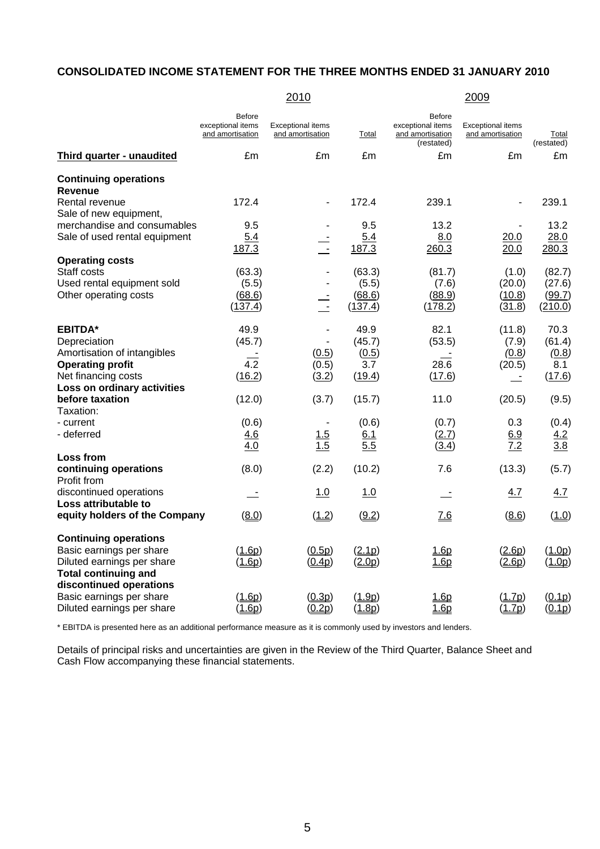#### **CONSOLIDATED INCOME STATEMENT FOR THE THREE MONTHS ENDED 31 JANUARY 2010**

|                                                 | 2010                                                   |                                              |         | 2009                                                                 |                                              |                            |  |
|-------------------------------------------------|--------------------------------------------------------|----------------------------------------------|---------|----------------------------------------------------------------------|----------------------------------------------|----------------------------|--|
|                                                 | <b>Before</b><br>exceptional items<br>and amortisation | <b>Exceptional items</b><br>and amortisation | Total   | <b>Before</b><br>exceptional items<br>and amortisation<br>(restated) | <b>Exceptional items</b><br>and amortisation | <b>Total</b><br>(restated) |  |
| <b>Third quarter - unaudited</b>                | £m                                                     | £m                                           | £m      | £m                                                                   | £m                                           | £m                         |  |
| <b>Continuing operations</b>                    |                                                        |                                              |         |                                                                      |                                              |                            |  |
| <b>Revenue</b>                                  |                                                        |                                              |         |                                                                      |                                              |                            |  |
| Rental revenue                                  | 172.4                                                  | ÷,                                           | 172.4   | 239.1                                                                |                                              | 239.1                      |  |
| Sale of new equipment,                          |                                                        |                                              |         |                                                                      |                                              |                            |  |
| merchandise and consumables                     | 9.5                                                    |                                              | 9.5     | 13.2                                                                 |                                              | 13.2                       |  |
| Sale of used rental equipment                   | 5.4                                                    |                                              | 5.4     | 8.0                                                                  | 20.0                                         | 28.0                       |  |
|                                                 | 187.3                                                  | $\sim$                                       | 187.3   | 260.3                                                                | 20.0                                         | 280.3                      |  |
| <b>Operating costs</b>                          |                                                        |                                              |         |                                                                      |                                              |                            |  |
| Staff costs                                     | (63.3)                                                 |                                              | (63.3)  | (81.7)                                                               | (1.0)                                        | (82.7)                     |  |
| Used rental equipment sold                      | (5.5)                                                  |                                              | (5.5)   | (7.6)                                                                | (20.0)                                       | (27.6)                     |  |
| Other operating costs                           | (68.6)                                                 | $\frac{1}{2}$                                | (68.6)  | (88.9)                                                               | (10.8)                                       | (99.7)                     |  |
|                                                 | (137.4)                                                |                                              | (137.4) | (178.2)                                                              | (31.8)                                       | (210.0)                    |  |
| <b>EBITDA*</b>                                  | 49.9                                                   |                                              | 49.9    | 82.1                                                                 | (11.8)                                       | 70.3                       |  |
| Depreciation                                    | (45.7)                                                 | $\overline{\phantom{0}}$                     | (45.7)  | (53.5)                                                               | (7.9)                                        | (61.4)                     |  |
| Amortisation of intangibles                     |                                                        | (0.5)                                        | (0.5)   |                                                                      | (0.8)                                        | (0.8)                      |  |
| <b>Operating profit</b>                         | $\overline{4.2}$                                       | (0.5)                                        | 3.7     | 28.6                                                                 | (20.5)                                       | 8.1                        |  |
| Net financing costs                             | (16.2)                                                 | (3.2)                                        | (19.4)  | (17.6)                                                               |                                              | (17.6)                     |  |
| Loss on ordinary activities                     |                                                        |                                              |         |                                                                      |                                              |                            |  |
| before taxation                                 | (12.0)                                                 | (3.7)                                        | (15.7)  | 11.0                                                                 | (20.5)                                       | (9.5)                      |  |
| Taxation:                                       |                                                        |                                              |         |                                                                      |                                              |                            |  |
| - current                                       | (0.6)                                                  |                                              | (0.6)   | (0.7)                                                                | 0.3                                          | (0.4)                      |  |
| - deferred                                      | 4.6                                                    | 1.5                                          | 6.1     | (2.7)                                                                | 6.9                                          | 4.2                        |  |
|                                                 | 4.0                                                    | 1.5                                          | 5.5     | (3.4)                                                                | 7.2                                          | 3.8                        |  |
| Loss from                                       |                                                        |                                              |         |                                                                      |                                              |                            |  |
| continuing operations<br>Profit from            | (8.0)                                                  | (2.2)                                        | (10.2)  | 7.6                                                                  | (13.3)                                       | (5.7)                      |  |
| discontinued operations<br>Loss attributable to | 二                                                      | 1.0                                          | 1.0     | 二                                                                    | 4.7                                          | 4.7                        |  |
| equity holders of the Company                   | (8.0)                                                  | (1.2)                                        | (9.2)   | 7.6                                                                  | (8.6)                                        | (1.0)                      |  |
| <b>Continuing operations</b>                    |                                                        |                                              |         |                                                                      |                                              |                            |  |
| Basic earnings per share                        | (1.6p)                                                 | (0.5p)                                       | (2.1p)  | 1.6p                                                                 | (2.6p)                                       | (1.0p)                     |  |
| Diluted earnings per share                      | (1.6p)                                                 | (0.4p)                                       | (2.0p)  | $\underline{1.6p}$                                                   | (2.6p)                                       | (1.0p)                     |  |
| <b>Total continuing and</b>                     |                                                        |                                              |         |                                                                      |                                              |                            |  |
| discontinued operations                         |                                                        |                                              |         |                                                                      |                                              |                            |  |
| Basic earnings per share                        | (1.6p)                                                 | (0.3p)                                       | (1.9p)  | 1.6p                                                                 | (1.7p)                                       | (0.1p)                     |  |
| Diluted earnings per share                      | (1.6p)                                                 | (0.2p)                                       | (1.8p)  | 1.6p                                                                 | (1.7p)                                       | (0.1p)                     |  |

\* EBITDA is presented here as an additional performance measure as it is commonly used by investors and lenders.

Details of principal risks and uncertainties are given in the Review of the Third Quarter, Balance Sheet and Cash Flow accompanying these financial statements.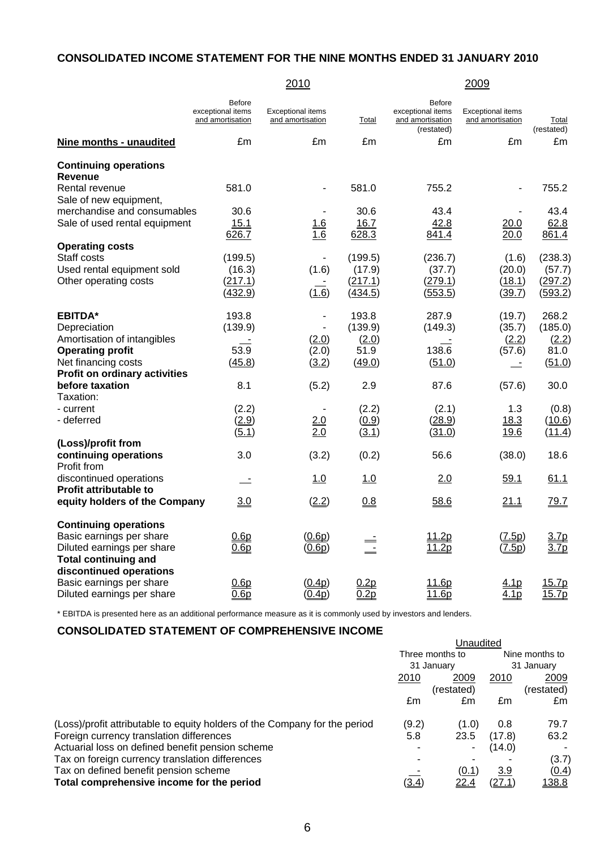## **CONSOLIDATED INCOME STATEMENT FOR THE NINE MONTHS ENDED 31 JANUARY 2010**

|                                      |                                                        | 2010                                         |         |                                                                      | 2009                                         |                     |
|--------------------------------------|--------------------------------------------------------|----------------------------------------------|---------|----------------------------------------------------------------------|----------------------------------------------|---------------------|
|                                      | <b>Before</b><br>exceptional items<br>and amortisation | <b>Exceptional items</b><br>and amortisation | Total   | <b>Before</b><br>exceptional items<br>and amortisation<br>(restated) | <b>Exceptional items</b><br>and amortisation | Total<br>(restated) |
| Nine months - unaudited              | £m                                                     | £m                                           | £m      | £m                                                                   | £m                                           | £m                  |
| <b>Continuing operations</b>         |                                                        |                                              |         |                                                                      |                                              |                     |
| <b>Revenue</b>                       |                                                        |                                              |         |                                                                      |                                              |                     |
| Rental revenue                       | 581.0                                                  | $\qquad \qquad \blacksquare$                 | 581.0   | 755.2                                                                |                                              | 755.2               |
| Sale of new equipment,               |                                                        |                                              |         |                                                                      |                                              |                     |
| merchandise and consumables          | 30.6                                                   |                                              | 30.6    | 43.4                                                                 |                                              | 43.4                |
| Sale of used rental equipment        | 15.1                                                   | 1.6                                          | 16.7    | 42.8                                                                 | 20.0                                         | 62.8                |
|                                      | 626.7                                                  | 1.6                                          | 628.3   | 841.4                                                                | 20.0                                         | 861.4               |
| <b>Operating costs</b>               |                                                        |                                              |         |                                                                      |                                              |                     |
| Staff costs                          | (199.5)                                                | $\overline{\phantom{a}}$                     | (199.5) | (236.7)                                                              | (1.6)                                        | (238.3)             |
| Used rental equipment sold           | (16.3)                                                 | (1.6)                                        | (17.9)  | (37.7)                                                               | (20.0)                                       | (57.7)              |
| Other operating costs                | (217.1)                                                |                                              | (217.1) | (279.1)                                                              | (18.1)                                       | (297.2)             |
|                                      | (432.9)                                                | (1.6)                                        | (434.5) | (553.5)                                                              | (39.7)                                       | (593.2)             |
| <b>EBITDA*</b>                       | 193.8                                                  | $\overline{a}$                               | 193.8   | 287.9                                                                | (19.7)                                       | 268.2               |
| Depreciation                         | (139.9)                                                | $\overline{\phantom{a}}$                     | (139.9) | (149.3)                                                              | (35.7)                                       | (185.0)             |
| Amortisation of intangibles          |                                                        | (2.0)                                        | (2.0)   |                                                                      | (2.2)                                        | (2.2)               |
| <b>Operating profit</b>              | 53.9                                                   | (2.0)                                        | 51.9    | 138.6                                                                | (57.6)                                       | 81.0                |
| Net financing costs                  | (45.8)                                                 | (3.2)                                        | (49.0)  | (51.0)                                                               |                                              | (51.0)              |
| <b>Profit on ordinary activities</b> |                                                        |                                              |         |                                                                      |                                              |                     |
| before taxation                      | 8.1                                                    | (5.2)                                        | 2.9     | 87.6                                                                 | (57.6)                                       | 30.0                |
| Taxation:                            |                                                        |                                              |         |                                                                      |                                              |                     |
| - current                            | (2.2)                                                  |                                              | (2.2)   | (2.1)                                                                | 1.3                                          | (0.8)               |
| - deferred                           | (2.9)                                                  | 2.0                                          | (0.9)   | (28.9)                                                               | 18.3                                         | (10.6)              |
|                                      | (5.1)                                                  | 2.0                                          | (3.1)   | (31.0)                                                               | 19.6                                         | (11.4)              |
| (Loss)/profit from                   |                                                        |                                              |         |                                                                      |                                              |                     |
| continuing operations                | 3.0                                                    | (3.2)                                        | (0.2)   | 56.6                                                                 | (38.0)                                       | 18.6                |
| Profit from                          |                                                        |                                              |         |                                                                      |                                              |                     |
| discontinued operations              | $\equiv$                                               | 1.0                                          | 1.0     | 2.0                                                                  | 59.1                                         | 61.1                |
| <b>Profit attributable to</b>        |                                                        |                                              |         |                                                                      |                                              |                     |
| equity holders of the Company        | <u>3.0</u>                                             | (2.2)                                        | 0.8     | 58.6                                                                 | 21.1                                         | 79.7                |
| <b>Continuing operations</b>         |                                                        |                                              |         |                                                                      |                                              |                     |
| Basic earnings per share             | 0.6p                                                   | (0.6p)                                       |         | 11.2p                                                                | (7.5p)                                       | 3.7 <sub>p</sub>    |
| Diluted earnings per share           | 0.6p                                                   | (0.6p)                                       |         | 11.2p                                                                | (7.5p)                                       | 3.7 <sub>p</sub>    |
| <b>Total continuing and</b>          |                                                        |                                              |         |                                                                      |                                              |                     |
| discontinued operations              |                                                        |                                              |         |                                                                      |                                              |                     |
| Basic earnings per share             | 0.6p                                                   | (0.4p)                                       | 0.2p    | 11.6p                                                                | 4.1 <sub>p</sub>                             | 15.7p               |
| Diluted earnings per share           | 0.6p                                                   | (0.4p)                                       | 0.2p    | 11.6p                                                                | 4.1 <sub>p</sub>                             | 15.7p               |

\* EBITDA is presented here as an additional performance measure as it is commonly used by investors and lenders.

### **CONSOLIDATED STATEMENT OF COMPREHENSIVE INCOME**

|                                                                            | Unaudited       |             |              |                |  |
|----------------------------------------------------------------------------|-----------------|-------------|--------------|----------------|--|
|                                                                            | Three months to |             |              | Nine months to |  |
|                                                                            | 31 January      |             | 31 Januarv   |                |  |
|                                                                            | 2010            | 2009        | 2010         | 2009           |  |
|                                                                            |                 | (restated)  |              | (restated)     |  |
|                                                                            | £m              | £m          | £m           | £m             |  |
| (Loss)/profit attributable to equity holders of the Company for the period | (9.2)           | (1.0)       | 0.8          | 79.7           |  |
| Foreign currency translation differences                                   | 5.8             | 23.5        | (17.8)       | 63.2           |  |
| Actuarial loss on defined benefit pension scheme                           |                 | ۰           | (14.0)       |                |  |
| Tax on foreign currency translation differences                            |                 |             |              | (3.7)          |  |
| Tax on defined benefit pension scheme                                      |                 | (0.1)       | <u>3.9</u>   | (0.4)          |  |
| Total comprehensive income for the period                                  | (3.4)           | <u>22.4</u> | <u>(27.1</u> | <u> 138.8</u>  |  |

6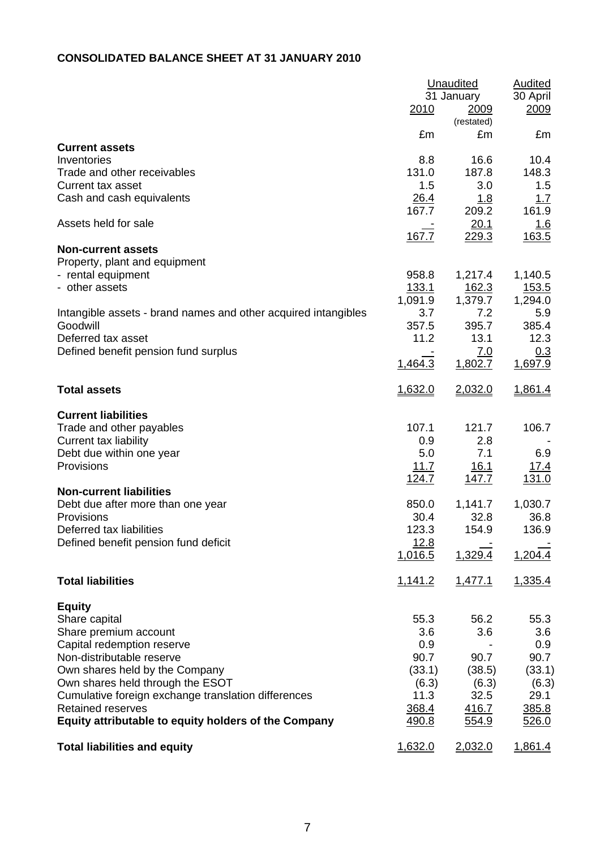## **CONSOLIDATED BALANCE SHEET AT 31 JANUARY 2010**

|                                                                    | <u>2010</u>     | Unaudited<br>31 January<br>2009<br>(restated) | <b>Audited</b><br>30 April<br><u>2009</u> |
|--------------------------------------------------------------------|-----------------|-----------------------------------------------|-------------------------------------------|
|                                                                    | £m              | £m                                            | £m                                        |
| <b>Current assets</b>                                              |                 |                                               |                                           |
| Inventories                                                        | 8.8<br>131.0    | 16.6<br>187.8                                 | 10.4<br>148.3                             |
| Trade and other receivables<br>Current tax asset                   | 1.5             | 3.0                                           | 1.5                                       |
| Cash and cash equivalents                                          | 26.4            | 1.8                                           | 1.7                                       |
|                                                                    | 167.7           | 209.2                                         | 161.9                                     |
| Assets held for sale                                               |                 | 20.1                                          | <u>1.6</u>                                |
|                                                                    | 167.7           | 229.3                                         | 163.5                                     |
| <b>Non-current assets</b><br>Property, plant and equipment         |                 |                                               |                                           |
| - rental equipment                                                 | 958.8           | 1,217.4                                       | 1,140.5                                   |
| - other assets                                                     | 133.1           | 162.3                                         | 153.5                                     |
|                                                                    | 1,091.9         | 1,379.7                                       | 1,294.0                                   |
| Intangible assets - brand names and other acquired intangibles     | 3.7             | 7.2                                           | 5.9                                       |
| Goodwill<br>Deferred tax asset                                     | 357.5<br>11.2   | 395.7<br>13.1                                 | 385.4<br>12.3                             |
| Defined benefit pension fund surplus                               |                 | 7.0                                           | 0.3                                       |
|                                                                    | 1,464.3         | 1,802.7                                       | 1,697.9                                   |
| <b>Total assets</b>                                                | 1,632.0         | 2,032.0                                       | 1,861.4                                   |
| <b>Current liabilities</b>                                         |                 |                                               |                                           |
| Trade and other payables                                           | 107.1           | 121.7                                         | 106.7                                     |
| Current tax liability                                              | 0.9             | 2.8                                           |                                           |
| Debt due within one year                                           | 5.0             | 7.1                                           | 6.9                                       |
| Provisions                                                         | 11.7            | 16.1                                          | 17.4                                      |
|                                                                    | <u>124.7</u>    | <u>147.7</u>                                  | 131.0                                     |
| <b>Non-current liabilities</b>                                     | 850.0           | 1,141.7                                       | 1,030.7                                   |
| Debt due after more than one year<br>Provisions                    | 30.4            | 32.8                                          | 36.8                                      |
| Deferred tax liabilities                                           | 123.3           | 154.9                                         | 136.9                                     |
| Defined benefit pension fund deficit                               | <u>12.8</u>     |                                               |                                           |
|                                                                    | 1,016.5         | 1,329.4                                       | 1,204.4                                   |
| <b>Total liabilities</b>                                           | 1,141.2         | 1,477.1                                       | 1,335.4                                   |
| <b>Equity</b>                                                      |                 |                                               |                                           |
| Share capital                                                      | 55.3            | 56.2                                          | 55.3                                      |
| Share premium account                                              | 3.6             | 3.6                                           | 3.6                                       |
| Capital redemption reserve                                         | 0.9             |                                               | 0.9                                       |
| Non-distributable reserve                                          | 90.7            | 90.7                                          | 90.7                                      |
| Own shares held by the Company<br>Own shares held through the ESOT | (33.1)<br>(6.3) | (38.5)<br>(6.3)                               | (33.1)<br>(6.3)                           |
| Cumulative foreign exchange translation differences                | 11.3            | 32.5                                          | 29.1                                      |
| <b>Retained reserves</b>                                           | 368.4           | 416.7                                         | 385.8                                     |
| Equity attributable to equity holders of the Company               | 490.8           | 554.9                                         | 526.0                                     |
| <b>Total liabilities and equity</b>                                | 1,632.0         | 2,032.0                                       | 1,861.4                                   |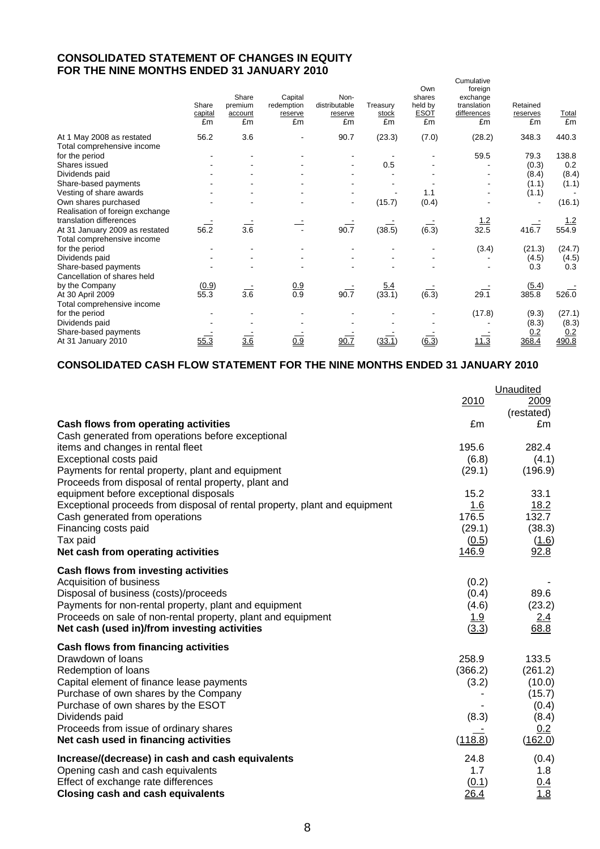## **CONSOLIDATED STATEMENT OF CHANGES IN EQUITY FOR THE NINE MONTHS ENDED 31 JANUARY 2010**

|                                 | Share<br>capital<br>£m | Share<br>premium<br>account<br>£m | Capital<br>redemption<br>reserve<br>£m | Non-<br>distributable<br>reserve<br>£m | Treasury<br>stock<br>£m | Own<br>shares<br>held by<br><b>ESOT</b><br>£m | Cumulative<br>foreign<br>exchange<br>translation<br>differences<br>£m | Retained<br>reserves<br>£m | <b>Total</b><br>£m |
|---------------------------------|------------------------|-----------------------------------|----------------------------------------|----------------------------------------|-------------------------|-----------------------------------------------|-----------------------------------------------------------------------|----------------------------|--------------------|
| At 1 May 2008 as restated       | 56.2                   | 3.6                               |                                        | 90.7                                   | (23.3)                  | (7.0)                                         | (28.2)                                                                | 348.3                      | 440.3              |
| Total comprehensive income      |                        |                                   |                                        |                                        |                         |                                               |                                                                       |                            |                    |
| for the period                  |                        |                                   |                                        |                                        |                         |                                               | 59.5                                                                  | 79.3                       | 138.8              |
| Shares issued                   |                        |                                   |                                        | $\blacksquare$                         | 0.5                     |                                               |                                                                       | (0.3)                      | 0.2                |
| Dividends paid                  |                        |                                   |                                        |                                        |                         |                                               |                                                                       | (8.4)                      | (8.4)              |
| Share-based payments            |                        |                                   |                                        |                                        |                         |                                               |                                                                       | (1.1)                      | (1.1)              |
| Vesting of share awards         |                        |                                   |                                        |                                        |                         | 1.1                                           |                                                                       | (1.1)                      |                    |
| Own shares purchased            |                        |                                   |                                        | $\blacksquare$                         | (15.7)                  | (0.4)                                         |                                                                       |                            | (16.1)             |
| Realisation of foreign exchange |                        |                                   |                                        |                                        |                         |                                               |                                                                       |                            |                    |
| translation differences         |                        |                                   |                                        |                                        |                         |                                               | <u> 1.2</u>                                                           |                            | <u>1.2</u>         |
| At 31 January 2009 as restated  | 56.2                   | $\overline{3.6}$                  |                                        | 90.7                                   | (38.5)                  | $(\overline{6.3})$                            | 32.5                                                                  | 416.7                      | 554.9              |
| Total comprehensive income      |                        |                                   |                                        |                                        |                         |                                               |                                                                       |                            |                    |
| for the period                  |                        |                                   |                                        |                                        |                         |                                               | (3.4)                                                                 | (21.3)                     | (24.7)             |
| Dividends paid                  |                        |                                   |                                        |                                        |                         |                                               |                                                                       | (4.5)                      | (4.5)              |
| Share-based payments            |                        |                                   |                                        |                                        |                         |                                               |                                                                       | 0.3                        | 0.3                |
| Cancellation of shares held     |                        |                                   |                                        |                                        |                         |                                               |                                                                       |                            |                    |
| by the Company                  | (0.9)                  |                                   |                                        |                                        | 5.4                     |                                               |                                                                       | (5.4)                      |                    |
| At 30 April 2009                | 55.3                   | 3.6                               | $\frac{0.9}{0.9}$                      | 90.7                                   | (33.1)                  | (6.3)                                         | 29.1                                                                  | 385.8                      | 526.0              |
| Total comprehensive income      |                        |                                   |                                        |                                        |                         |                                               |                                                                       |                            |                    |
| for the period                  |                        |                                   |                                        |                                        |                         |                                               | (17.8)                                                                | (9.3)                      | (27.1)             |
| Dividends paid                  |                        |                                   |                                        |                                        |                         |                                               |                                                                       | (8.3)                      | (8.3)              |
| Share-based payments            |                        |                                   |                                        |                                        |                         |                                               |                                                                       | 0.2                        | 0.2                |
| At 31 January 2010              | 55.3                   | 3.6                               | 0.9                                    | 90.7                                   | (33.1)                  | (6.3)                                         | 11.3                                                                  | 368.4                      | 490.8              |
|                                 |                        |                                   |                                        |                                        |                         |                                               |                                                                       |                            |                    |

## **CONSOLIDATED CASH FLOW STATEMENT FOR THE NINE MONTHS ENDED 31 JANUARY 2010**

|                                                                                                                       |                 | Unaudited          |
|-----------------------------------------------------------------------------------------------------------------------|-----------------|--------------------|
|                                                                                                                       | 2010            | 2009<br>(restated) |
| Cash flows from operating activities                                                                                  | £m              | £m                 |
| Cash generated from operations before exceptional                                                                     |                 |                    |
| items and changes in rental fleet                                                                                     | 195.6           | 282.4              |
| Exceptional costs paid<br>Payments for rental property, plant and equipment                                           | (6.8)<br>(29.1) | (4.1)<br>(196.9)   |
| Proceeds from disposal of rental property, plant and                                                                  |                 |                    |
| equipment before exceptional disposals                                                                                | 15.2            | 33.1               |
| Exceptional proceeds from disposal of rental property, plant and equipment                                            | 1.6             | 18.2               |
| Cash generated from operations                                                                                        | 176.5           | 132.7              |
| Financing costs paid                                                                                                  | (29.1)          | (38.3)             |
| Tax paid                                                                                                              | (0.5)           | (1.6)              |
| Net cash from operating activities                                                                                    | 146.9           | 92.8               |
| <b>Cash flows from investing activities</b>                                                                           |                 |                    |
| Acquisition of business                                                                                               | (0.2)           |                    |
| Disposal of business (costs)/proceeds                                                                                 | (0.4)           | 89.6               |
| Payments for non-rental property, plant and equipment<br>Proceeds on sale of non-rental property, plant and equipment | (4.6)<br>1.9    | (23.2)<br>2.4      |
| Net cash (used in)/from investing activities                                                                          | (3.3)           | 68.8               |
| <b>Cash flows from financing activities</b>                                                                           |                 |                    |
| Drawdown of Ioans                                                                                                     | 258.9           | 133.5              |
| Redemption of loans                                                                                                   | (366.2)         | (261.2)            |
| Capital element of finance lease payments                                                                             | (3.2)           | (10.0)             |
| Purchase of own shares by the Company<br>Purchase of own shares by the ESOT                                           |                 | (15.7)<br>(0.4)    |
| Dividends paid                                                                                                        | (8.3)           | (8.4)              |
| Proceeds from issue of ordinary shares                                                                                |                 | 0.2                |
| Net cash used in financing activities                                                                                 | (118.8)         | (162.0)            |
| Increase/(decrease) in cash and cash equivalents                                                                      | 24.8            | (0.4)              |
| Opening cash and cash equivalents                                                                                     | 1.7             | 1.8                |
| Effect of exchange rate differences                                                                                   | (0.1)           | $\frac{0.4}{1.8}$  |
| <b>Closing cash and cash equivalents</b>                                                                              | 26.4            |                    |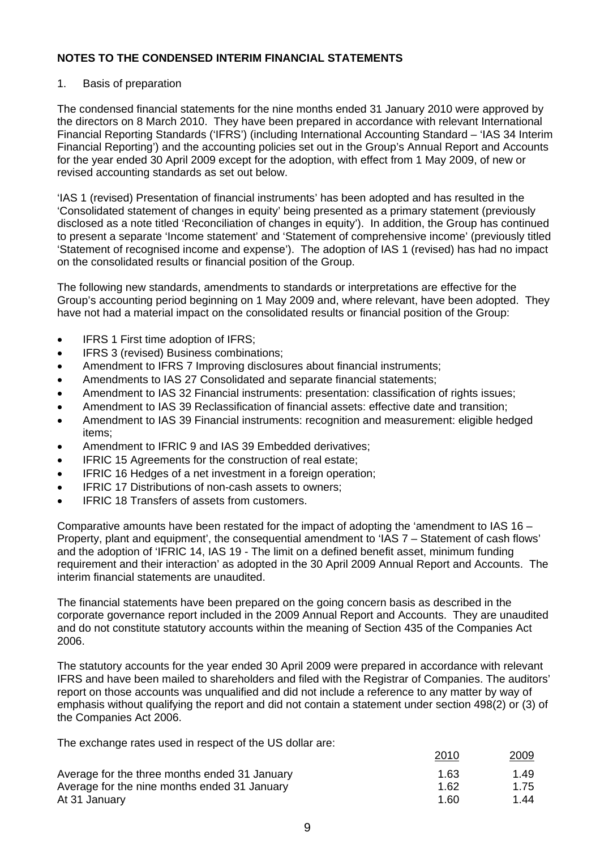### 1. Basis of preparation

The condensed financial statements for the nine months ended 31 January 2010 were approved by the directors on 8 March 2010. They have been prepared in accordance with relevant International Financial Reporting Standards ('IFRS') (including International Accounting Standard – 'IAS 34 Interim Financial Reporting') and the accounting policies set out in the Group's Annual Report and Accounts for the year ended 30 April 2009 except for the adoption, with effect from 1 May 2009, of new or revised accounting standards as set out below.

'IAS 1 (revised) Presentation of financial instruments' has been adopted and has resulted in the 'Consolidated statement of changes in equity' being presented as a primary statement (previously disclosed as a note titled 'Reconciliation of changes in equity'). In addition, the Group has continued to present a separate 'Income statement' and 'Statement of comprehensive income' (previously titled 'Statement of recognised income and expense'). The adoption of IAS 1 (revised) has had no impact on the consolidated results or financial position of the Group.

The following new standards, amendments to standards or interpretations are effective for the Group's accounting period beginning on 1 May 2009 and, where relevant, have been adopted. They have not had a material impact on the consolidated results or financial position of the Group:

- IFRS 1 First time adoption of IFRS;
- **•** IFRS 3 (revised) Business combinations;
- Amendment to IFRS 7 Improving disclosures about financial instruments;
- Amendments to IAS 27 Consolidated and separate financial statements;
- Amendment to IAS 32 Financial instruments: presentation: classification of rights issues;
- Amendment to IAS 39 Reclassification of financial assets: effective date and transition;
- Amendment to IAS 39 Financial instruments: recognition and measurement: eligible hedged items;
- Amendment to IFRIC 9 and IAS 39 Embedded derivatives;
- IFRIC 15 Agreements for the construction of real estate;
- IFRIC 16 Hedges of a net investment in a foreign operation;
- IFRIC 17 Distributions of non-cash assets to owners;
- IFRIC 18 Transfers of assets from customers.

Comparative amounts have been restated for the impact of adopting the 'amendment to IAS 16 – Property, plant and equipment', the consequential amendment to 'IAS 7 – Statement of cash flows' and the adoption of 'IFRIC 14, IAS 19 - The limit on a defined benefit asset, minimum funding requirement and their interaction' as adopted in the 30 April 2009 Annual Report and Accounts. The interim financial statements are unaudited.

The financial statements have been prepared on the going concern basis as described in the corporate governance report included in the 2009 Annual Report and Accounts. They are unaudited and do not constitute statutory accounts within the meaning of Section 435 of the Companies Act 2006.

The statutory accounts for the year ended 30 April 2009 were prepared in accordance with relevant IFRS and have been mailed to shareholders and filed with the Registrar of Companies. The auditors' report on those accounts was unqualified and did not include a reference to any matter by way of emphasis without qualifying the report and did not contain a statement under section 498(2) or (3) of the Companies Act 2006.

The exchange rates used in respect of the US dollar are:

|                                               | 2010 | <u>2009</u> |
|-----------------------------------------------|------|-------------|
| Average for the three months ended 31 January | 1.63 | 1.49        |
| Average for the nine months ended 31 January  | 1.62 | 1.75        |
| At 31 January                                 | 1.60 | 1.44        |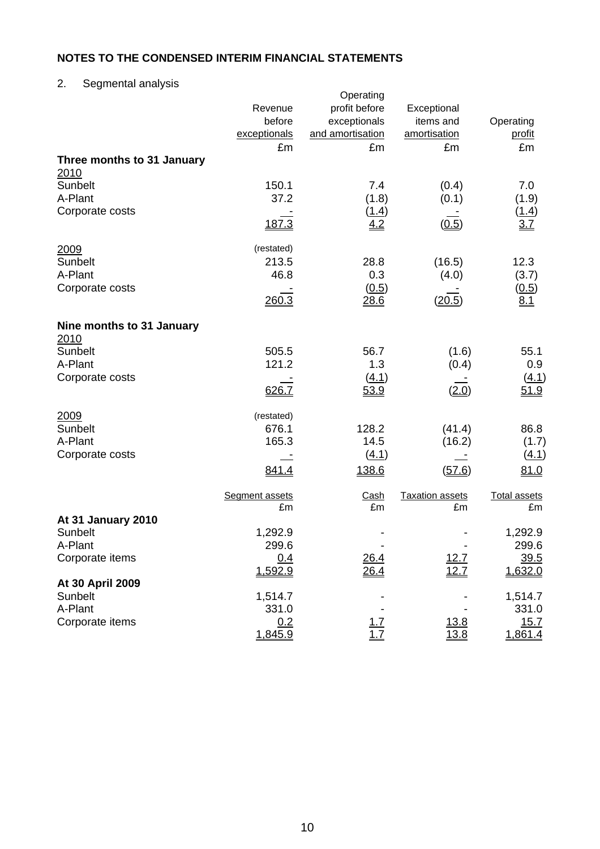2. Segmental analysis

| 55.11                       | Revenue<br>before<br>exceptionals<br>£m | Operating<br>profit before<br>exceptionals<br>and amortisation<br>£m | Exceptional<br>items and<br>amortisation<br>£m | Operating<br>profit<br>£m |
|-----------------------------|-----------------------------------------|----------------------------------------------------------------------|------------------------------------------------|---------------------------|
| Three months to 31 January  |                                         |                                                                      |                                                |                           |
| 2010<br>Sunbelt             | 150.1                                   | 7.4                                                                  | (0.4)                                          | 7.0                       |
| A-Plant                     | 37.2                                    | (1.8)                                                                | (0.1)                                          | (1.9)                     |
| Corporate costs             |                                         | (1.4)                                                                |                                                | (1.4)                     |
|                             | 187.3                                   | 4.2                                                                  | (0.5)                                          | 3.7                       |
| 2009                        | (restated)                              |                                                                      |                                                |                           |
| Sunbelt                     | 213.5                                   | 28.8                                                                 | (16.5)                                         | 12.3                      |
| A-Plant                     | 46.8                                    | 0.3                                                                  | (4.0)                                          | (3.7)                     |
| Corporate costs             | 260.3                                   | (0.5)<br>28.6                                                        | (20.5)                                         | (0.5)<br>8.1              |
| Nine months to 31 January   |                                         |                                                                      |                                                |                           |
| 2010                        |                                         |                                                                      |                                                |                           |
| Sunbelt                     | 505.5                                   | 56.7                                                                 | (1.6)                                          | 55.1                      |
| A-Plant                     | 121.2                                   | 1.3                                                                  | (0.4)                                          | 0.9                       |
| Corporate costs             | 626.7                                   | (4.1)<br>53.9                                                        | (2.0)                                          | <u>(4.1)</u><br>51.9      |
| 2009                        | (restated)                              |                                                                      |                                                |                           |
| Sunbelt                     | 676.1                                   | 128.2                                                                | (41.4)                                         | 86.8                      |
| A-Plant                     | 165.3                                   | 14.5                                                                 | (16.2)                                         | (1.7)                     |
| Corporate costs             |                                         | (4.1)                                                                |                                                | (4.1)                     |
|                             | 841.4                                   | 138.6                                                                | (57.6)                                         | 81.0                      |
|                             | Segment assets                          | <u>Cash</u>                                                          | <b>Taxation assets</b>                         | <b>Total assets</b>       |
| At 31 January 2010          | £m                                      | £m                                                                   | £m                                             | £m                        |
| Sunbelt                     | 1,292.9                                 |                                                                      |                                                | 1,292.9                   |
| A-Plant                     | 299.6                                   |                                                                      |                                                | 299.6                     |
| Corporate items             | 0.4                                     | 26.4                                                                 | 12.7                                           | 39.5                      |
|                             | 1,592.9                                 | <u>26.4</u>                                                          | 12.7                                           | 1,632.0                   |
| At 30 April 2009<br>Sunbelt |                                         |                                                                      |                                                |                           |
| A-Plant                     | 1,514.7<br>331.0                        |                                                                      |                                                | 1,514.7<br>331.0          |
| Corporate items             | 0.2                                     | <u> 1.7</u>                                                          | <u>13.8</u>                                    | 15.7                      |
|                             | 1,845.9                                 | 1.7                                                                  | 13.8                                           | 1,861.4                   |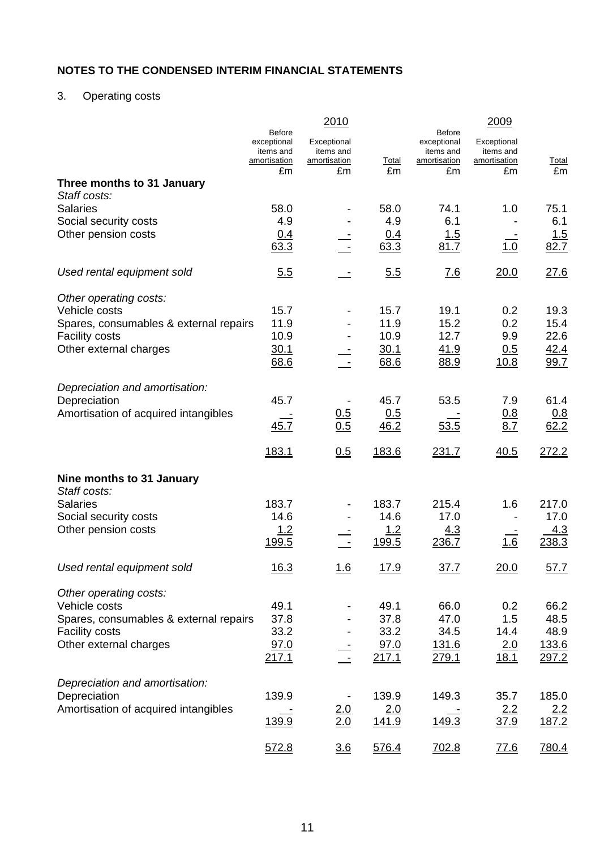# 3. Operating costs

|                                        | <b>Before</b>             | 2010                             |              | <b>Before</b>             | 2009                      |              |
|----------------------------------------|---------------------------|----------------------------------|--------------|---------------------------|---------------------------|--------------|
|                                        | exceptional               | Exceptional                      |              | exceptional               | Exceptional               |              |
|                                        | items and<br>amortisation | items and<br><u>amortisation</u> | <b>Total</b> | items and<br>amortisation | items and<br>amortisation | <b>Total</b> |
| Three months to 31 January             | £m                        | £m                               | £m           | £m                        | £m                        | £m           |
| Staff costs:                           |                           |                                  |              |                           |                           |              |
| <b>Salaries</b>                        | 58.0                      |                                  | 58.0         | 74.1                      | 1.0                       | 75.1         |
| Social security costs                  | 4.9                       |                                  | 4.9          | 6.1                       |                           | 6.1          |
| Other pension costs                    | <u>0.4</u>                |                                  | 0.4          | 1.5                       |                           | 1.5          |
|                                        | 63.3                      |                                  | 63.3         | 81.7                      | 1.0                       | 82.7         |
| Used rental equipment sold             | 5.5                       |                                  | 5.5          | 7.6                       | 20.0                      | 27.6         |
| Other operating costs:                 |                           |                                  |              |                           |                           |              |
| Vehicle costs                          | 15.7                      |                                  | 15.7         | 19.1                      | 0.2                       | 19.3         |
| Spares, consumables & external repairs | 11.9                      |                                  | 11.9         | 15.2                      | 0.2                       | 15.4         |
| <b>Facility costs</b>                  | 10.9                      |                                  | 10.9         | 12.7                      | 9.9                       | 22.6         |
| Other external charges                 | 30.1<br>68.6              |                                  | 30.1<br>68.6 | 41.9<br>88.9              | 0.5<br>10.8               | 42.4<br>99.7 |
|                                        |                           |                                  |              |                           |                           |              |
| Depreciation and amortisation:         |                           |                                  |              |                           |                           |              |
| Depreciation                           | 45.7                      |                                  | 45.7         | 53.5                      | 7.9                       | 61.4         |
| Amortisation of acquired intangibles   |                           | $\frac{0.5}{0.5}$                | 0.5          |                           | <u>0.8</u>                | <u>0.8</u>   |
|                                        | 45.7                      |                                  | 46.2         | 53.5                      | 8.7                       | 62.2         |
|                                        | 183.1                     | 0.5                              | 183.6        | 231.7                     | 40.5                      | 272.2        |
| Nine months to 31 January              |                           |                                  |              |                           |                           |              |
| Staff costs:                           |                           |                                  |              |                           |                           |              |
| <b>Salaries</b>                        | 183.7                     |                                  | 183.7        | 215.4                     | 1.6                       | 217.0        |
| Social security costs                  | 14.6                      |                                  | 14.6         | 17.0                      |                           | 17.0         |
| Other pension costs                    | 1.2                       |                                  | 1.2          | <u>4.3</u>                |                           | <u>4.3</u>   |
|                                        | 199.5                     |                                  | 199.5        | 236.7                     | 1.6                       | 238.3        |
| Used rental equipment sold             | 16.3                      | <u> 1.6</u>                      | <u>17.9</u>  | 37.7                      | 20.0                      | 57.7         |
| Other operating costs:                 |                           |                                  |              |                           |                           |              |
| Vehicle costs                          | 49.1                      |                                  | 49.1         | 66.0                      | 0.2                       | 66.2         |
| Spares, consumables & external repairs | 37.8                      |                                  | 37.8         | 47.0                      | 1.5                       | 48.5         |
| <b>Facility costs</b>                  | 33.2                      |                                  | 33.2         | 34.5                      | 14.4                      | 48.9         |
| Other external charges                 | 97.0                      |                                  | 97.0         | <u>131.6</u>              | 2.0                       | 133.6        |
|                                        | 217.1                     |                                  | 217.1        | 279.1                     | 18.1                      | 297.2        |
| Depreciation and amortisation:         |                           |                                  |              |                           |                           |              |
| Depreciation                           | 139.9                     |                                  | 139.9        | 149.3                     | 35.7                      | 185.0        |
| Amortisation of acquired intangibles   |                           | $\frac{2.0}{2.0}$                | 2.0          |                           | 2.2                       | <u>2.2</u>   |
|                                        | 139.9                     |                                  | 141.9        | 149.3                     | 37.9                      | 187.2        |
|                                        | 572.8                     | 3.6                              | 576.4        | 702.8                     | 77.6                      | 780.4        |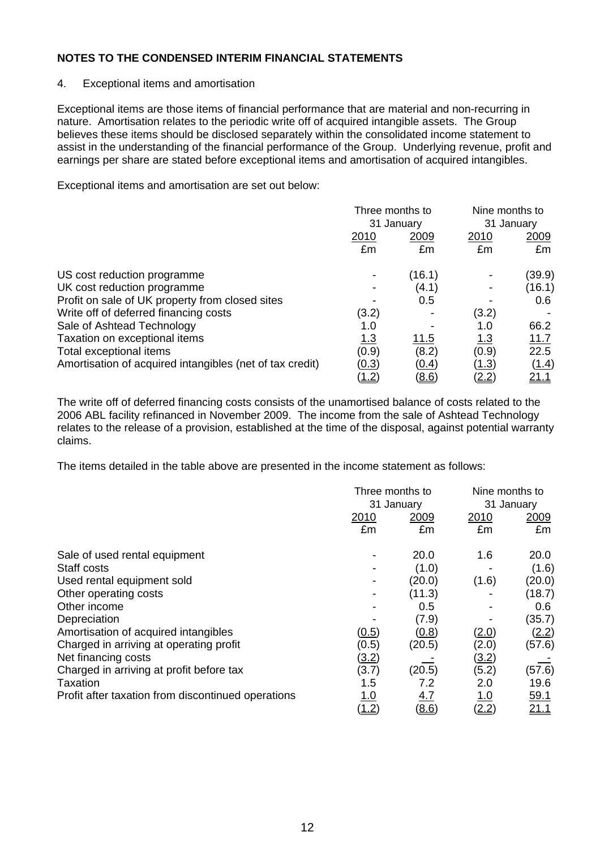### 4. Exceptional items and amortisation

Exceptional items are those items of financial performance that are material and non-recurring in nature. Amortisation relates to the periodic write off of acquired intangible assets. The Group believes these items should be disclosed separately within the consolidated income statement to assist in the understanding of the financial performance of the Group. Underlying revenue, profit and earnings per share are stated before exceptional items and amortisation of acquired intangibles.

Exceptional items and amortisation are set out below:

|                                                          | Three months to<br>31 January |                    | Nine months to<br>31 January |                    |
|----------------------------------------------------------|-------------------------------|--------------------|------------------------------|--------------------|
|                                                          | <u>2010</u><br>£m             | <u> 2009</u><br>£m | 2010<br>£m                   | <u> 2009</u><br>£m |
| US cost reduction programme                              |                               | (16.1)             |                              | (39.9)             |
| UK cost reduction programme                              |                               | (4.1)              |                              | (16.1)             |
| Profit on sale of UK property from closed sites          |                               | 0.5                |                              | 0.6                |
| Write off of deferred financing costs                    | (3.2)                         |                    | (3.2)                        |                    |
| Sale of Ashtead Technology                               | 1.0                           |                    | 1.0                          | 66.2               |
| Taxation on exceptional items                            | <u>1.3</u>                    | <u>11.5</u>        | <u>1.3</u>                   | 11.7               |
| Total exceptional items                                  | (0.9)                         | (8.2)              | (0.9)                        | 22.5               |
| Amortisation of acquired intangibles (net of tax credit) | <u>(0.3)</u>                  | (0.4)              | <u>(1.3)</u>                 | (1.4)              |
|                                                          | <u>(1.2)</u>                  | (8.6)              | <u>(2.2)</u>                 | 21.1               |

The write off of deferred financing costs consists of the unamortised balance of costs related to the 2006 ABL facility refinanced in November 2009. The income from the sale of Ashtead Technology relates to the release of a provision, established at the time of the disposal, against potential warranty claims.

The items detailed in the table above are presented in the income statement as follows:

|                                                    |              | Three months to<br>31 January |                   | Nine months to<br>31 January |
|----------------------------------------------------|--------------|-------------------------------|-------------------|------------------------------|
|                                                    | 2010<br>£m   | 2009<br>£m                    | <u>2010</u><br>£m | 2009<br>£m                   |
|                                                    |              |                               |                   |                              |
| Sale of used rental equipment                      |              | 20.0                          | 1.6               | 20.0                         |
| Staff costs                                        |              | (1.0)                         |                   | (1.6)                        |
| Used rental equipment sold                         |              | (20.0)                        | (1.6)             | (20.0)                       |
| Other operating costs                              |              | (11.3)                        |                   | (18.7)                       |
| Other income                                       |              | 0.5                           |                   | 0.6                          |
| Depreciation                                       |              | (7.9)                         |                   | (35.7)                       |
| Amortisation of acquired intangibles               | (0.5)        | (0.8)                         | <u>(2.0)</u>      | (2.2)                        |
| Charged in arriving at operating profit            | (0.5)        | (20.5)                        | (2.0)             | (57.6)                       |
| Net financing costs                                | <u>(3.2)</u> |                               | <u>(3.2)</u>      |                              |
| Charged in arriving at profit before tax           | (3.7)        | (20.5)                        | (5.2)             | (57.6)                       |
| Taxation                                           | 1.5          | 7.2                           | 2.0               | 19.6                         |
| Profit after taxation from discontinued operations | <u>1.0</u>   | <u>4.7</u>                    | <u>1.0</u>        | <u>59.1</u>                  |
|                                                    | (1.2)        | (8.6)                         | (2.2)             | 21.1                         |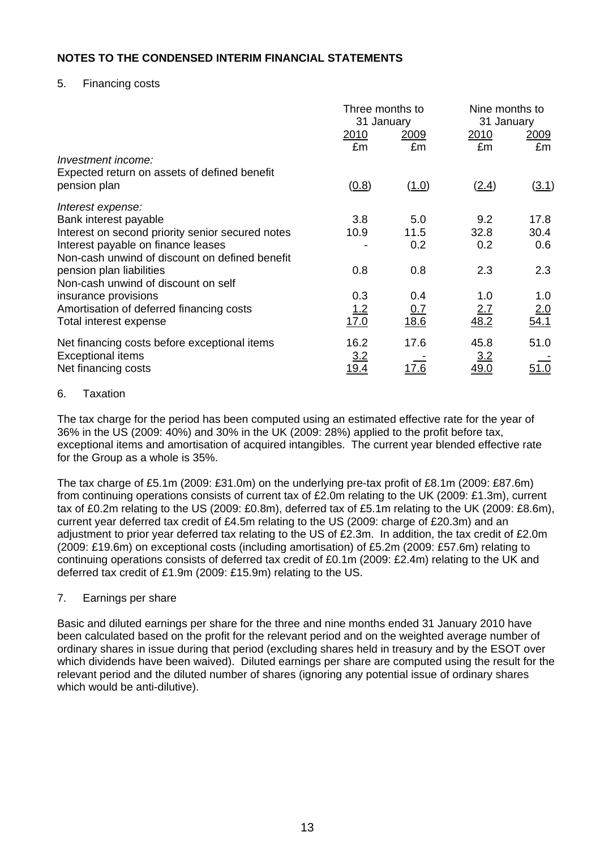## 5. Financing costs

|                                                                                                 | Three months to<br>31 January |                    | Nine months to<br>31 January |                     |
|-------------------------------------------------------------------------------------------------|-------------------------------|--------------------|------------------------------|---------------------|
|                                                                                                 | <u>2010</u><br>£m             | <u> 2009</u><br>£m | <u> 2010</u><br>£m           | <u> 2009</u><br>£m  |
| Investment income:<br>Expected return on assets of defined benefit<br>pension plan              | (0.8)                         | (1.0)              | (2.4)                        | (3.1)               |
| Interest expense:<br>Bank interest payable                                                      | 3.8                           | 5.0                | 9.2                          | 17.8                |
| Interest on second priority senior secured notes                                                | 10.9                          | 11.5               | 32.8                         | 30.4                |
| Interest payable on finance leases<br>Non-cash unwind of discount on defined benefit            |                               | 0.2                | 0.2                          | 0.6                 |
| pension plan liabilities<br>Non-cash unwind of discount on self                                 | 0.8                           | 0.8                | 2.3                          | 2.3                 |
| insurance provisions                                                                            | 0.3                           | 0.4                | 1.0                          | 1.0                 |
| Amortisation of deferred financing costs<br>Total interest expense                              | <u> 1.2</u><br>17.0           | 0.7<br>18.6        | 2.7<br>48.2                  | 2.0<br>54.1         |
| Net financing costs before exceptional items<br><b>Exceptional items</b><br>Net financing costs | 16.2<br>3.2<br><u> 19.4</u>   | 17.6<br>17.6       | 45.8<br>3.2<br><u>49.0</u>   | 51.0<br><u>51.0</u> |
|                                                                                                 |                               |                    |                              |                     |

#### 6. Taxation

The tax charge for the period has been computed using an estimated effective rate for the year of 36% in the US (2009: 40%) and 30% in the UK (2009: 28%) applied to the profit before tax, exceptional items and amortisation of acquired intangibles. The current year blended effective rate for the Group as a whole is 35%.

The tax charge of £5.1m (2009: £31.0m) on the underlying pre-tax profit of £8.1m (2009: £87.6m) from continuing operations consists of current tax of £2.0m relating to the UK (2009: £1.3m), current tax of £0.2m relating to the US (2009: £0.8m), deferred tax of £5.1m relating to the UK (2009: £8.6m), current year deferred tax credit of £4.5m relating to the US (2009: charge of £20.3m) and an adjustment to prior year deferred tax relating to the US of £2.3m. In addition, the tax credit of £2.0m (2009: £19.6m) on exceptional costs (including amortisation) of £5.2m (2009: £57.6m) relating to continuing operations consists of deferred tax credit of £0.1m (2009: £2.4m) relating to the UK and deferred tax credit of £1.9m (2009: £15.9m) relating to the US.

#### 7. Earnings per share

Basic and diluted earnings per share for the three and nine months ended 31 January 2010 have been calculated based on the profit for the relevant period and on the weighted average number of ordinary shares in issue during that period (excluding shares held in treasury and by the ESOT over which dividends have been waived). Diluted earnings per share are computed using the result for the relevant period and the diluted number of shares (ignoring any potential issue of ordinary shares which would be anti-dilutive).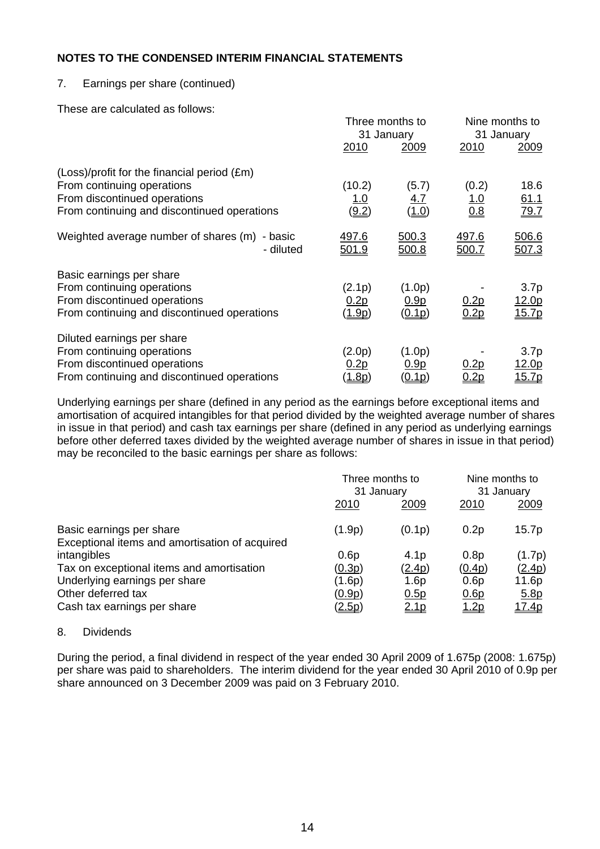## 7. Earnings per share (continued)

These are calculated as follows:

|                                                                                                                                                          |                                | Three months to<br>31 January       |                            | Nine months to<br>31 January                       |
|----------------------------------------------------------------------------------------------------------------------------------------------------------|--------------------------------|-------------------------------------|----------------------------|----------------------------------------------------|
|                                                                                                                                                          | 2010                           | 2009                                | 2010                       | <u> 2009 </u>                                      |
| (Loss)/profit for the financial period (£m)<br>From continuing operations<br>From discontinued operations<br>From continuing and discontinued operations | (10.2)<br><u> 1.0</u><br>(9.2) | (5.7)<br><u>4.7</u><br><u>(1.0)</u> | (0.2)<br><u>1.0</u><br>0.8 | 18.6<br>61.1<br>79.7                               |
| Weighted average number of shares (m)<br>- basic<br>- diluted                                                                                            | <u>497.6</u><br>501.9          | <u>500.3</u><br>500.8               | <u>497.6</u><br>500.7      | 506.6<br><u>507.3</u>                              |
| Basic earnings per share<br>From continuing operations<br>From discontinued operations<br>From continuing and discontinued operations                    | (2.1p)<br>0.2p<br><u>1.9p</u>  | (1.0p)<br>0.9p<br>(0.1p)            | <u>0.2p</u><br>0.2p        | 3.7 <sub>p</sub><br><u> 12.0p</u><br>15.7p         |
| Diluted earnings per share<br>From continuing operations<br>From discontinued operations<br>From continuing and discontinued operations                  | (2.0p)<br>0.2p<br>(1.8p)       | (1.0p)<br>0.9p<br>(0.1p)            | <u>0.2p</u><br>0.2p        | 3.7 <sub>p</sub><br><u> 12.0p</u><br><u> 15.7p</u> |

Underlying earnings per share (defined in any period as the earnings before exceptional items and amortisation of acquired intangibles for that period divided by the weighted average number of shares in issue in that period) and cash tax earnings per share (defined in any period as underlying earnings before other deferred taxes divided by the weighted average number of shares in issue in that period) may be reconciled to the basic earnings per share as follows:

|                                                                            | Three months to<br>31 January |                  | Nine months to<br>31 January |              |
|----------------------------------------------------------------------------|-------------------------------|------------------|------------------------------|--------------|
|                                                                            | 2010                          | 2009             | 2010                         | 2009         |
| Basic earnings per share<br>Exceptional items and amortisation of acquired | (1.9p)                        | (0.1p)           | 0.2p                         | 15.7p        |
| intangibles                                                                | 0.6p                          | 4.1 <sub>p</sub> | 0.8p                         | (1.7p)       |
| Tax on exceptional items and amortisation                                  | (0.3p)                        | (2.4p)           | (0.4p)                       | (2.4p)       |
| Underlying earnings per share                                              | (1.6p)                        | 1.6p             | 0.6p                         | 11.6p        |
| Other deferred tax                                                         | <u>(0.9p)</u>                 | 0.5p             | 0.6p                         | 5.8p         |
| Cash tax earnings per share                                                | <u>(2.5p)</u>                 | 2.1 <sub>p</sub> | <u>1.2p</u>                  | <u>17.4p</u> |

#### 8. Dividends

During the period, a final dividend in respect of the year ended 30 April 2009 of 1.675p (2008: 1.675p) per share was paid to shareholders. The interim dividend for the year ended 30 April 2010 of 0.9p per share announced on 3 December 2009 was paid on 3 February 2010.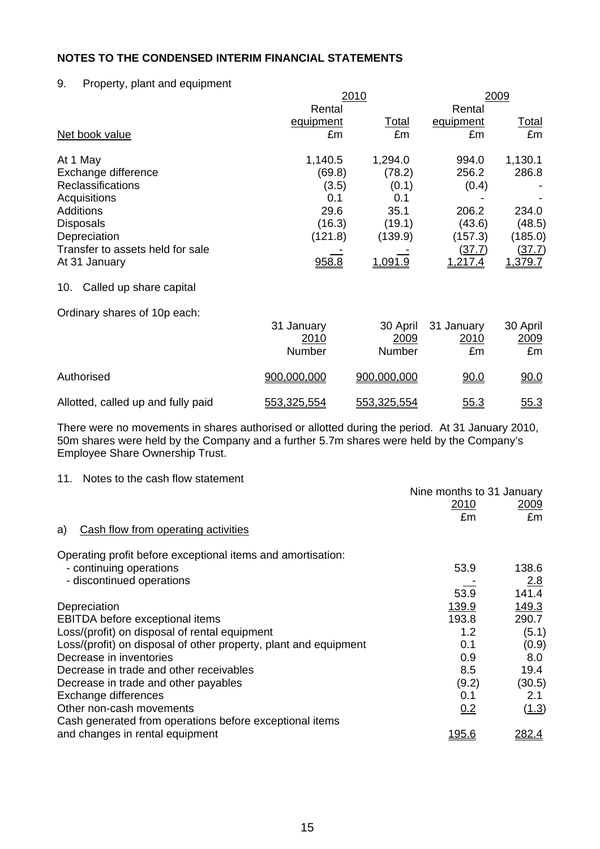#### 9. Property, plant and equipment

|                                    |             | 2010           |               |              |
|------------------------------------|-------------|----------------|---------------|--------------|
|                                    | Rental      |                | Rental        |              |
|                                    | equipment   | Total          | equipment     | <u>Total</u> |
| Net book value                     | £m          | £m             | £m            | £m           |
| At 1 May                           | 1,140.5     | 1,294.0        | 994.0         | 1,130.1      |
| Exchange difference                | (69.8)      | (78.2)         | 256.2         | 286.8        |
| Reclassifications                  | (3.5)       | (0.1)          | (0.4)         |              |
| Acquisitions                       | 0.1         | 0.1            |               |              |
| <b>Additions</b>                   | 29.6        | 35.1           | 206.2         | 234.0        |
| <b>Disposals</b>                   | (16.3)      | (19.1)         | (43.6)        | (48.5)       |
| Depreciation                       | (121.8)     | (139.9)        | (157.3)       | (185.0)      |
| Transfer to assets held for sale   |             |                | <u>(37.7)</u> | (37.7)       |
| At 31 January                      | 958.8       | <u>1.091.9</u> | 1,217.4       | 1,379.7      |
| Called up share capital<br>10.     |             |                |               |              |
| Ordinary shares of 10p each:       |             |                |               |              |
|                                    | 31 January  | 30 April       | 31 January    | 30 April     |
|                                    | 2010        | 2009           | 2010          | 2009         |
|                                    | Number      | Number         | £m            | £m           |
| Authorised                         | 900,000,000 | 900,000,000    | 90.0          | 90.0         |
| Allotted, called up and fully paid | 553,325,554 | 553,325,554    | 55.3          | 55.3         |

There were no movements in shares authorised or allotted during the period. At 31 January 2010, 50m shares were held by the Company and a further 5.7m shares were held by the Company's Employee Share Ownership Trust.

#### 11. Notes to the cash flow statement

|                                                                  | Nine months to 31 January<br>2010<br>£m | 2009<br>£m |
|------------------------------------------------------------------|-----------------------------------------|------------|
| Cash flow from operating activities<br>a)                        |                                         |            |
| Operating profit before exceptional items and amortisation:      |                                         |            |
| - continuing operations                                          | 53.9                                    | 138.6      |
| - discontinued operations                                        |                                         | 2.8        |
|                                                                  | 53.9                                    | 141.4      |
| Depreciation                                                     | 139.9                                   | 149.3      |
| EBITDA before exceptional items                                  | 193.8                                   | 290.7      |
| Loss/(profit) on disposal of rental equipment                    | 1.2                                     | (5.1)      |
| Loss/(profit) on disposal of other property, plant and equipment | 0.1                                     | (0.9)      |
| Decrease in inventories                                          | 0.9                                     | 8.0        |
| Decrease in trade and other receivables                          | 8.5                                     | 19.4       |
| Decrease in trade and other payables                             | (9.2)                                   | (30.5)     |
| Exchange differences                                             | 0.1                                     | 2.1        |
| Other non-cash movements                                         | 0.2                                     | (1.3)      |
| Cash generated from operations before exceptional items          |                                         |            |
| and changes in rental equipment                                  | <u>195.6</u>                            | 282.4      |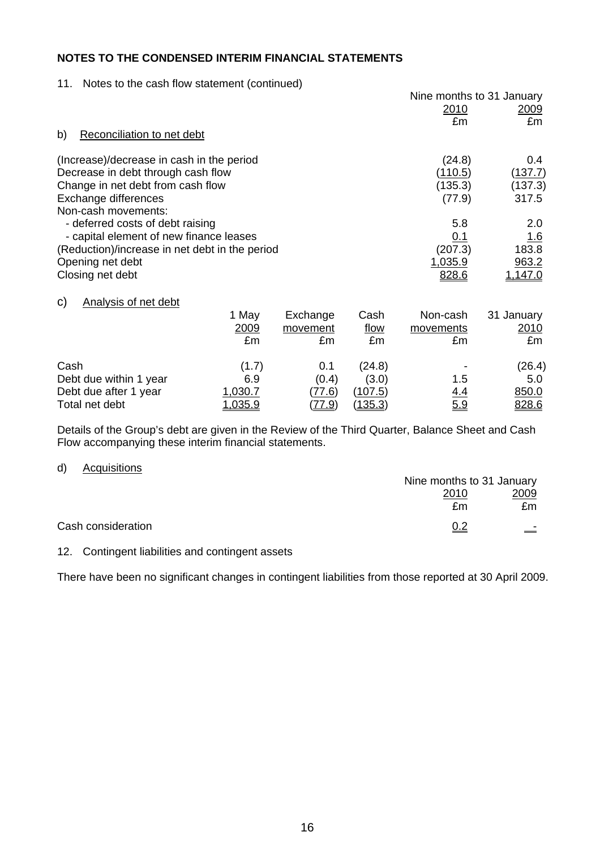#### 11. Notes to the cash flow statement (continued)

|                                                |                |          |                | Nine months to 31 January |                |
|------------------------------------------------|----------------|----------|----------------|---------------------------|----------------|
|                                                |                |          |                | 2010                      | <u> 2009 </u>  |
|                                                |                |          |                | £m                        | £m             |
| Reconciliation to net debt<br>b)               |                |          |                |                           |                |
| (Increase)/decrease in cash in the period      |                |          |                | (24.8)                    | $0.4^{\circ}$  |
| Decrease in debt through cash flow             |                |          |                | (110.5)                   | <u>(137.7)</u> |
| Change in net debt from cash flow              |                |          |                | (135.3)                   | (137.3)        |
| Exchange differences                           |                |          |                | (77.9)                    | 317.5          |
| Non-cash movements:                            |                |          |                |                           |                |
| - deferred costs of debt raising               |                |          |                | 5.8                       | 2.0            |
| - capital element of new finance leases        |                |          |                | <u>0.1</u>                | 1.6            |
| (Reduction)/increase in net debt in the period |                |          |                | (207.3)                   | 183.8          |
| Opening net debt                               |                |          |                | 1,035.9                   | 963.2          |
| Closing net debt                               |                |          |                | 828.6                     | 1,147.0        |
| <b>Analysis of net debt</b><br>C)              |                |          |                |                           |                |
|                                                | 1 May          | Exchange | Cash           | Non-cash                  | 31 January     |
|                                                | 2009           | movement | flow           | movements                 | <u> 2010 </u>  |
|                                                | £m             | £m       | £m             | £m                        | £m             |
|                                                |                |          |                |                           |                |
| Cash                                           | (1.7)          | 0.1      | (24.8)         |                           | (26.4)         |
| Debt due within 1 year                         | 6.9            | (0.4)    | (3.0)          | 1.5                       | 5.0            |
| Debt due after 1 year                          | 1,030.7        | (77.6)   | (107.5)        | <u>4.4</u>                | 850.0          |
| Total net debt                                 | <u>1.035.9</u> | (77.9)   | <u>(135.3)</u> | 5.9                       | 828.6          |

Details of the Group's debt are given in the Review of the Third Quarter, Balance Sheet and Cash Flow accompanying these interim financial statements.

#### d) Acquisitions

|                    | Nine months to 31 January |          |
|--------------------|---------------------------|----------|
|                    | 2010                      | 2009     |
|                    | £m                        | £m       |
| Cash consideration | <u>0.2</u>                | $\equiv$ |

#### 12. Contingent liabilities and contingent assets

There have been no significant changes in contingent liabilities from those reported at 30 April 2009.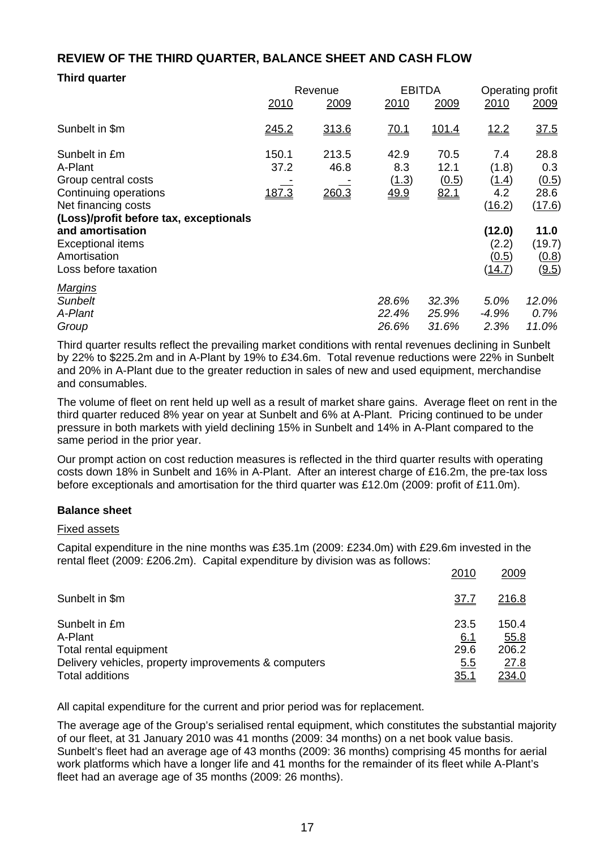# **REVIEW OF THE THIRD QUARTER, BALANCE SHEET AND CASH FLOW**

## **Third quarter**

|                                                                                                                                                                                                                                   |                        | Revenue                |                                     | <b>EBITDA</b>                 | Operating profit                                                             |                                                                            |
|-----------------------------------------------------------------------------------------------------------------------------------------------------------------------------------------------------------------------------------|------------------------|------------------------|-------------------------------------|-------------------------------|------------------------------------------------------------------------------|----------------------------------------------------------------------------|
|                                                                                                                                                                                                                                   | 2010                   | 2009                   | 2010                                | 2009                          | 2010                                                                         | 2009                                                                       |
| Sunbelt in \$m                                                                                                                                                                                                                    | 245.2                  | 313.6                  | 70.1                                | <u>101.4</u>                  | <u>12.2</u>                                                                  | 37.5                                                                       |
| Sunbelt in £m<br>A-Plant<br>Group central costs<br>Continuing operations<br>Net financing costs<br>(Loss)/profit before tax, exceptionals<br>and amortisation<br><b>Exceptional items</b><br>Amortisation<br>Loss before taxation | 150.1<br>37.2<br>187.3 | 213.5<br>46.8<br>260.3 | 42.9<br>8.3<br>(1.3)<br><u>49.9</u> | 70.5<br>12.1<br>(0.5)<br>82.1 | 7.4<br>(1.8)<br>(1.4)<br>4.2<br>(16.2)<br>(12.0)<br>(2.2)<br>(0.5)<br>(14.7) | 28.8<br>0.3<br>(0.5)<br>28.6<br>(17.6)<br>11.0<br>(19.7)<br>(0.8)<br>(9.5) |
| <b>Margins</b><br><b>Sunbelt</b><br>A-Plant<br>Group                                                                                                                                                                              |                        |                        | 28.6%<br>22.4%<br>26.6%             | 32.3%<br>25.9%<br>31.6%       | 5.0%<br>$-4.9%$<br>2.3%                                                      | 12.0%<br>0.7%<br>11.0%                                                     |

Third quarter results reflect the prevailing market conditions with rental revenues declining in Sunbelt by 22% to \$225.2m and in A-Plant by 19% to £34.6m. Total revenue reductions were 22% in Sunbelt and 20% in A-Plant due to the greater reduction in sales of new and used equipment, merchandise and consumables.

The volume of fleet on rent held up well as a result of market share gains. Average fleet on rent in the third quarter reduced 8% year on year at Sunbelt and 6% at A-Plant. Pricing continued to be under pressure in both markets with yield declining 15% in Sunbelt and 14% in A-Plant compared to the same period in the prior year.

Our prompt action on cost reduction measures is reflected in the third quarter results with operating costs down 18% in Sunbelt and 16% in A-Plant. After an interest charge of £16.2m, the pre-tax loss before exceptionals and amortisation for the third quarter was £12.0m (2009: profit of £11.0m).

#### **Balance sheet**

#### Fixed assets

Capital expenditure in the nine months was £35.1m (2009: £234.0m) with £29.6m invested in the rental fleet (2009: £206.2m). Capital expenditure by division was as follows:

|                                                      | 2010        | 2009          |
|------------------------------------------------------|-------------|---------------|
| Sunbelt in \$m                                       | <u>37.7</u> | <u>216.8</u>  |
| Sunbelt in £m<br>A-Plant                             | 23.5<br>6.1 | 150.4<br>55.8 |
| Total rental equipment                               | 29.6        | 206.2         |
| Delivery vehicles, property improvements & computers | 5.5         | 27.8          |
| <b>Total additions</b>                               | <u>35.1</u> | <u> 234.0</u> |

All capital expenditure for the current and prior period was for replacement.

The average age of the Group's serialised rental equipment, which constitutes the substantial majority of our fleet, at 31 January 2010 was 41 months (2009: 34 months) on a net book value basis. Sunbelt's fleet had an average age of 43 months (2009: 36 months) comprising 45 months for aerial work platforms which have a longer life and 41 months for the remainder of its fleet while A-Plant's fleet had an average age of 35 months (2009: 26 months).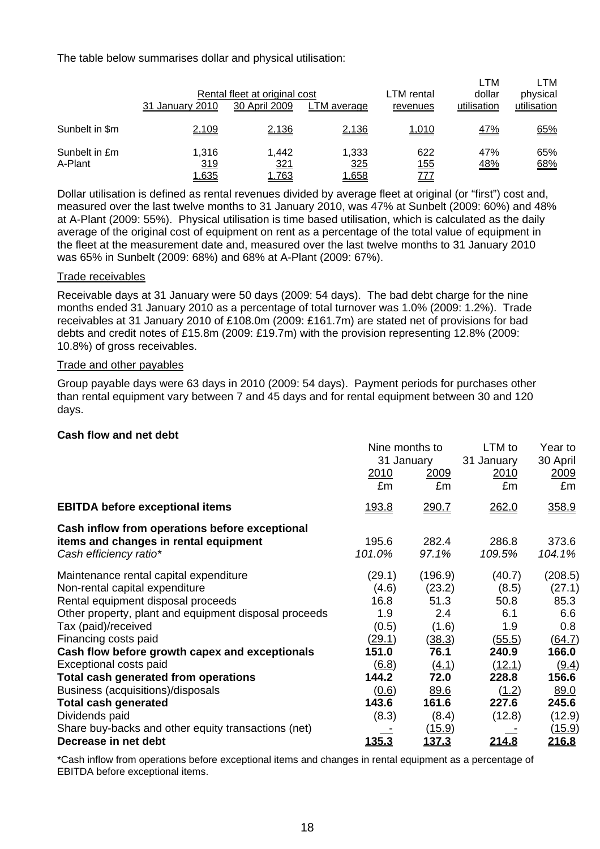The table below summarises dollar and physical utilisation:

|                          | Rental fleet at original cost<br>31 January 2010<br>30 April 2009<br>LTM average |                                     |                       | LTM rental<br>revenues | LTM<br>dollar<br>utilisation | LTM<br>physical<br>utilisation |
|--------------------------|----------------------------------------------------------------------------------|-------------------------------------|-----------------------|------------------------|------------------------------|--------------------------------|
| Sunbelt in \$m           | 2,109                                                                            | 2,136                               | 2,136                 | 1,010                  | <u>47%</u>                   | 65%                            |
| Sunbelt in £m<br>A-Plant | 1.316<br>319<br>1,635                                                            | 1.442<br><u>321</u><br><u>1.763</u> | 1.333<br>325<br>1,658 | 622<br>155<br>777      | 47%<br><u>48%</u>            | 65%<br>68%                     |

Dollar utilisation is defined as rental revenues divided by average fleet at original (or "first") cost and, measured over the last twelve months to 31 January 2010, was 47% at Sunbelt (2009: 60%) and 48% at A-Plant (2009: 55%). Physical utilisation is time based utilisation, which is calculated as the daily average of the original cost of equipment on rent as a percentage of the total value of equipment in the fleet at the measurement date and, measured over the last twelve months to 31 January 2010 was 65% in Sunbelt (2009: 68%) and 68% at A-Plant (2009: 67%).

#### Trade receivables

Receivable days at 31 January were 50 days (2009: 54 days). The bad debt charge for the nine months ended 31 January 2010 as a percentage of total turnover was 1.0% (2009: 1.2%). Trade receivables at 31 January 2010 of £108.0m (2009: £161.7m) are stated net of provisions for bad debts and credit notes of £15.8m (2009: £19.7m) with the provision representing 12.8% (2009: 10.8%) of gross receivables.

#### Trade and other payables

Group payable days were 63 days in 2010 (2009: 54 days). Payment periods for purchases other than rental equipment vary between 7 and 45 days and for rental equipment between 30 and 120 days.

#### **Cash flow and net debt**

|                                                                                                                   | Nine months to<br>31 January<br><u>2010</u><br><u>2009</u><br>£m<br>£m |                        | LTM to<br>31 January<br><u>2010</u><br>£m | Year to<br>30 April<br>2009<br>£m |
|-------------------------------------------------------------------------------------------------------------------|------------------------------------------------------------------------|------------------------|-------------------------------------------|-----------------------------------|
| <b>EBITDA before exceptional items</b>                                                                            | <u>193.8</u>                                                           | 290.7                  | 262.0                                     | 358.9                             |
| Cash inflow from operations before exceptional<br>items and changes in rental equipment<br>Cash efficiency ratio* | 195.6<br>101.0%                                                        | 282.4<br>97.1%         | 286.8<br>109.5%                           | 373.6<br>104.1%                   |
| Maintenance rental capital expenditure                                                                            | (29.1)                                                                 | (196.9)                | (40.7)                                    | (208.5)                           |
| Non-rental capital expenditure<br>Rental equipment disposal proceeds                                              | (4.6)<br>16.8                                                          | (23.2)<br>51.3         | (8.5)<br>50.8                             | (27.1)<br>85.3                    |
| Other property, plant and equipment disposal proceeds                                                             | 1.9                                                                    | 2.4                    | 6.1<br>1.9                                | 6.6                               |
| Tax (paid)/received<br>Financing costs paid                                                                       | (0.5)<br>(29.1)                                                        | (1.6)<br><u>(38.3)</u> | (55.5)                                    | 0.8<br>(64.7)                     |
| Cash flow before growth capex and exceptionals                                                                    | 151.0                                                                  | 76.1                   | 240.9                                     | 166.0                             |
| Exceptional costs paid                                                                                            | $\underline{(6.8)}$                                                    | (4.1)                  | (12.1)                                    | (9.4)                             |
| Total cash generated from operations                                                                              | 144.2                                                                  | 72.0                   | 228.8                                     | 156.6                             |
| Business (acquisitions)/disposals                                                                                 | (0.6)                                                                  | 89.6                   | (1.2)                                     | 89.0                              |
| <b>Total cash generated</b>                                                                                       | 143.6                                                                  | 161.6                  | 227.6                                     | 245.6                             |
| Dividends paid                                                                                                    | (8.3)                                                                  | (8.4)                  | (12.8)                                    | (12.9)                            |
| Share buy-backs and other equity transactions (net)                                                               |                                                                        | <u>(15.9)</u>          |                                           | <u>(15.9)</u>                     |
| Decrease in net debt                                                                                              | <u> 135.3</u>                                                          | <u>137.3</u>           | <u> 214.8</u>                             | <u> 216.8</u>                     |

\*Cash inflow from operations before exceptional items and changes in rental equipment as a percentage of EBITDA before exceptional items.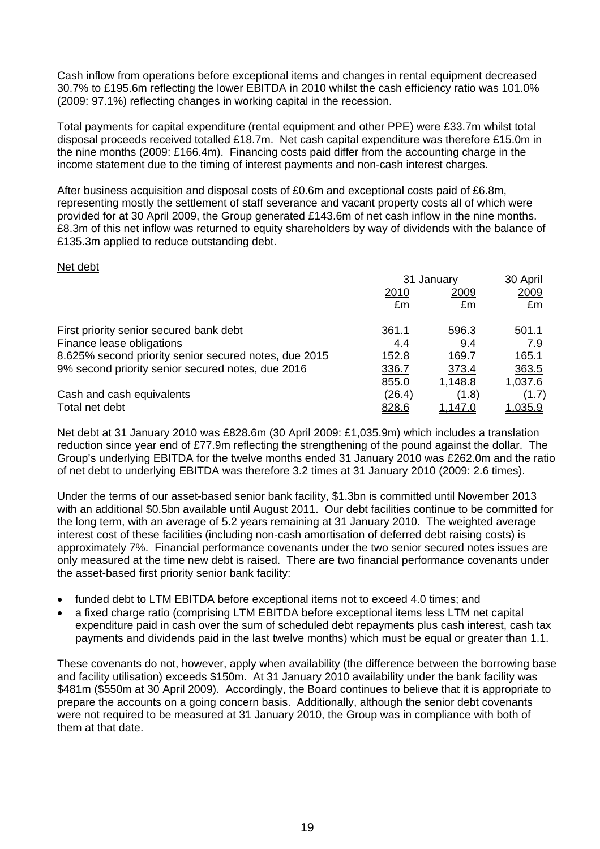Cash inflow from operations before exceptional items and changes in rental equipment decreased 30.7% to £195.6m reflecting the lower EBITDA in 2010 whilst the cash efficiency ratio was 101.0% (2009: 97.1%) reflecting changes in working capital in the recession.

Total payments for capital expenditure (rental equipment and other PPE) were £33.7m whilst total disposal proceeds received totalled £18.7m. Net cash capital expenditure was therefore £15.0m in the nine months (2009: £166.4m). Financing costs paid differ from the accounting charge in the income statement due to the timing of interest payments and non-cash interest charges.

After business acquisition and disposal costs of £0.6m and exceptional costs paid of £6.8m, representing mostly the settlement of staff severance and vacant property costs all of which were provided for at 30 April 2009, the Group generated £143.6m of net cash inflow in the nine months. £8.3m of this net inflow was returned to equity shareholders by way of dividends with the balance of £135.3m applied to reduce outstanding debt.

#### Net debt

|                                                       | 31 January    |                | 30 April       |
|-------------------------------------------------------|---------------|----------------|----------------|
|                                                       | 2010          | 2009           | 2009           |
|                                                       | £m            | £m             | £m             |
| First priority senior secured bank debt               | 361.1         | 596.3          | 501.1          |
| Finance lease obligations                             | 4.4           | 9.4            | 7.9            |
| 8.625% second priority senior secured notes, due 2015 | 152.8         | 169.7          | 165.1          |
| 9% second priority senior secured notes, due 2016     | 336.7         | 373.4          | 363.5          |
|                                                       | 855.0         | 1,148.8        | 1,037.6        |
| Cash and cash equivalents                             | <u>(26.4)</u> | (1.8)          | <u>(1.7)</u>   |
| Total net debt                                        | <u>828.6</u>  | <u>1,147.0</u> | <u>1,035.9</u> |

Net debt at 31 January 2010 was £828.6m (30 April 2009: £1,035.9m) which includes a translation reduction since year end of £77.9m reflecting the strengthening of the pound against the dollar. The Group's underlying EBITDA for the twelve months ended 31 January 2010 was £262.0m and the ratio of net debt to underlying EBITDA was therefore 3.2 times at 31 January 2010 (2009: 2.6 times).

Under the terms of our asset-based senior bank facility, \$1.3bn is committed until November 2013 with an additional \$0.5bn available until August 2011. Our debt facilities continue to be committed for the long term, with an average of 5.2 years remaining at 31 January 2010. The weighted average interest cost of these facilities (including non-cash amortisation of deferred debt raising costs) is approximately 7%. Financial performance covenants under the two senior secured notes issues are only measured at the time new debt is raised. There are two financial performance covenants under the asset-based first priority senior bank facility:

- funded debt to LTM EBITDA before exceptional items not to exceed 4.0 times; and
- a fixed charge ratio (comprising LTM EBITDA before exceptional items less LTM net capital expenditure paid in cash over the sum of scheduled debt repayments plus cash interest, cash tax payments and dividends paid in the last twelve months) which must be equal or greater than 1.1.

These covenants do not, however, apply when availability (the difference between the borrowing base and facility utilisation) exceeds \$150m. At 31 January 2010 availability under the bank facility was \$481m (\$550m at 30 April 2009). Accordingly, the Board continues to believe that it is appropriate to prepare the accounts on a going concern basis. Additionally, although the senior debt covenants were not required to be measured at 31 January 2010, the Group was in compliance with both of them at that date.